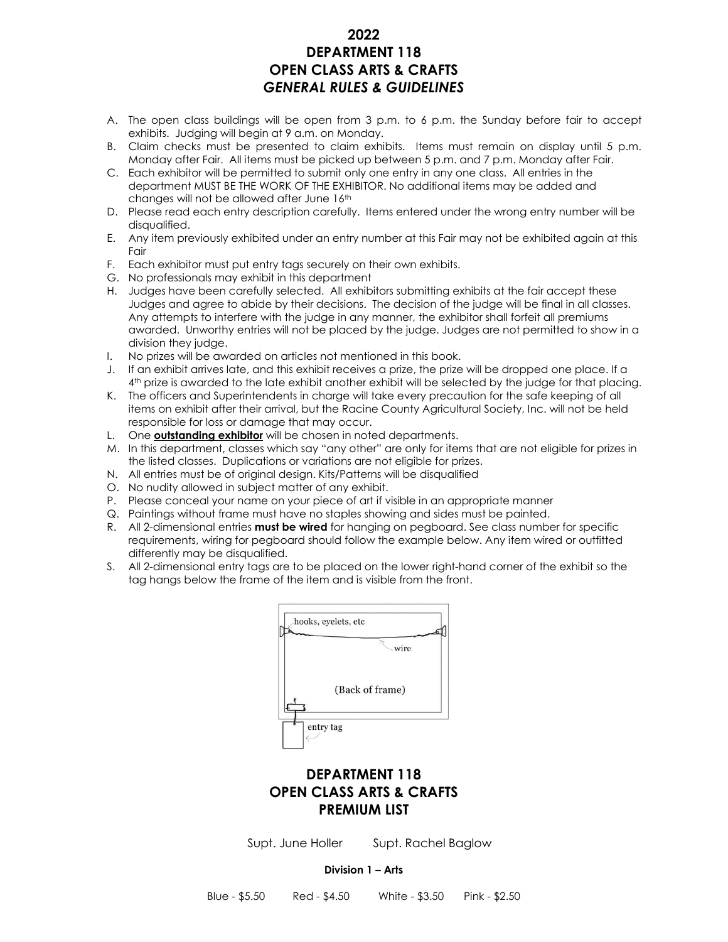#### **2022 DEPARTMENT 118 OPEN CLASS ARTS & CRAFTS** *GENERAL RULES & GUIDELINES*

- A. The open class buildings will be open from 3 p.m. to 6 p.m. the Sunday before fair to accept exhibits. Judging will begin at 9 a.m. on Monday.
- B. Claim checks must be presented to claim exhibits. Items must remain on display until 5 p.m. Monday after Fair. All items must be picked up between 5 p.m. and 7 p.m. Monday after Fair.
- C. Each exhibitor will be permitted to submit only one entry in any one class. All entries in the department MUST BE THE WORK OF THE EXHIBITOR. No additional items may be added and changes will not be allowed after June 16th
- D. Please read each entry description carefully. Items entered under the wrong entry number will be disqualified.
- E. Any item previously exhibited under an entry number at this Fair may not be exhibited again at this Fair
- F. Each exhibitor must put entry tags securely on their own exhibits.
- G. No professionals may exhibit in this department
- H. Judges have been carefully selected. All exhibitors submitting exhibits at the fair accept these Judges and agree to abide by their decisions. The decision of the judge will be final in all classes. Any attempts to interfere with the judge in any manner, the exhibitor shall forfeit all premiums awarded. Unworthy entries will not be placed by the judge. Judges are not permitted to show in a division they judge.
- I. No prizes will be awarded on articles not mentioned in this book.
- J. If an exhibit arrives late, and this exhibit receives a prize, the prize will be dropped one place. If a 4 th prize is awarded to the late exhibit another exhibit will be selected by the judge for that placing.
- K. The officers and Superintendents in charge will take every precaution for the safe keeping of all items on exhibit after their arrival, but the Racine County Agricultural Society, Inc. will not be held responsible for loss or damage that may occur.
- L. One **outstanding exhibitor** will be chosen in noted departments.
- M. In this department, classes which say "any other" are only for items that are not eligible for prizes in the listed classes. Duplications or variations are not eligible for prizes.
- N. All entries must be of original design. Kits/Patterns will be disqualified
- O. No nudity allowed in subject matter of any exhibit.
- P. Please conceal your name on your piece of art if visible in an appropriate manner
- Q. Paintings without frame must have no staples showing and sides must be painted.
- R. All 2-dimensional entries **must be wired** for hanging on pegboard. See class number for specific requirements, wiring for pegboard should follow the example below. Any item wired or outfitted differently may be disqualified.
- S. All 2-dimensional entry tags are to be placed on the lower right-hand corner of the exhibit so the tag hangs below the frame of the item and is visible from the front.



### **DEPARTMENT 118 OPEN CLASS ARTS & CRAFTS PREMIUM LIST**

Supt. June Holler Supt. Rachel Baglow

#### **Division 1 – Arts**

Blue - \$5.50 Red - \$4.50 White - \$3.50 Pink - \$2.50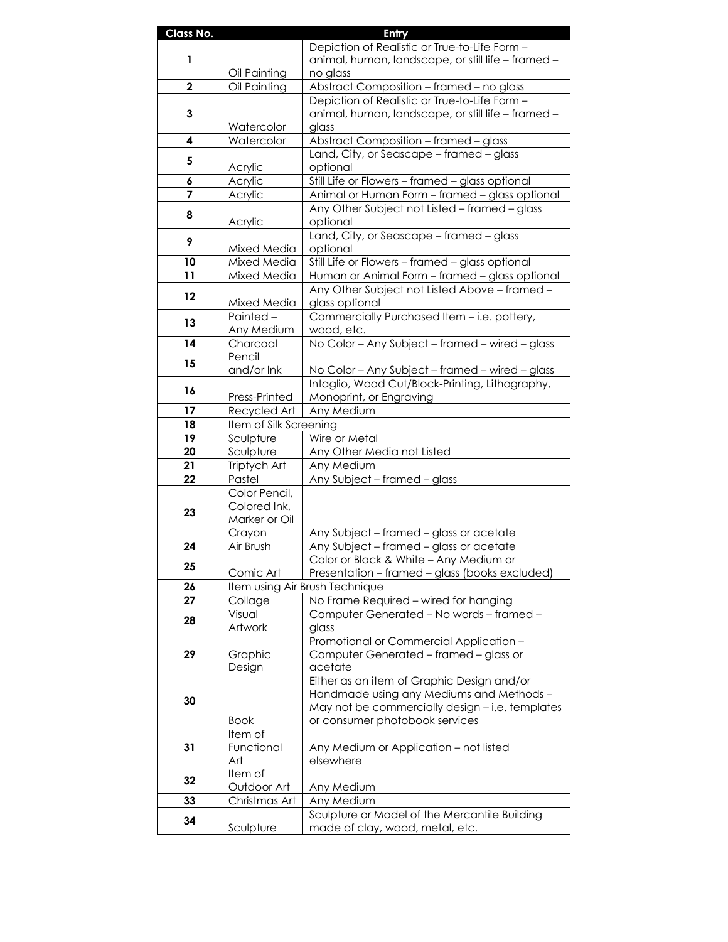| Class No.   |                                                                                               | Entry                                                                                           |
|-------------|-----------------------------------------------------------------------------------------------|-------------------------------------------------------------------------------------------------|
| 1           |                                                                                               | Depiction of Realistic or True-to-Life Form -                                                   |
|             |                                                                                               | animal, human, landscape, or still life - framed -                                              |
|             | Oil Painting                                                                                  | no glass                                                                                        |
| $\mathbf 2$ | Oil Painting                                                                                  | Abstract Composition - framed - no glass                                                        |
|             |                                                                                               | Depiction of Realistic or True-to-Life Form -                                                   |
| 3           | Watercolor                                                                                    | animal, human, landscape, or still life - framed -<br>glass                                     |
| 4           | Watercolor                                                                                    | Abstract Composition - framed - glass                                                           |
|             |                                                                                               | Land, City, or Seascape - framed - glass                                                        |
| 5           | Acrylic                                                                                       | optional                                                                                        |
| 6           | Acrylic                                                                                       | Still Life or Flowers - framed - glass optional                                                 |
| 7           | Acrylic                                                                                       | Animal or Human Form - framed - glass optional                                                  |
| 8           |                                                                                               | Any Other Subject not Listed - framed - glass                                                   |
|             | Acrylic                                                                                       | optional                                                                                        |
| 9           |                                                                                               | Land, City, or Seascape - framed - glass                                                        |
|             | Mixed Media                                                                                   | optional                                                                                        |
| 10          | Mixed Media                                                                                   | Still Life or Flowers - framed - glass optional                                                 |
| 11          | Mixed Media                                                                                   | Human or Animal Form - framed - glass optional<br>Any Other Subject not Listed Above - framed - |
| 12          | Mixed Media                                                                                   | glass optional                                                                                  |
|             | Painted-                                                                                      | Commercially Purchased Item - i.e. pottery,                                                     |
| 13          | Any Medium                                                                                    | wood, etc.                                                                                      |
| 14          | Charcoal                                                                                      | No Color - Any Subject - framed - wired - glass                                                 |
| 15          | Pencil                                                                                        |                                                                                                 |
|             | and/or Ink                                                                                    | No Color - Any Subject - framed - wired - glass                                                 |
| 16          |                                                                                               | Intaglio, Wood Cut/Block-Printing, Lithography,                                                 |
|             | Press-Printed                                                                                 | Monoprint, or Engraving                                                                         |
| 17          | Recycled Art                                                                                  | Any Medium                                                                                      |
| 18<br>19    | Item of Silk Screening<br>Sculpture                                                           | Wire or Metal                                                                                   |
| 20          | Sculpture                                                                                     | Any Other Media not Listed                                                                      |
| 21          | Triptych Art                                                                                  | Any Medium                                                                                      |
| 22          | Pastel                                                                                        | Any Subject - framed - glass                                                                    |
|             | Color Pencil,                                                                                 |                                                                                                 |
| 23          | Colored Ink,                                                                                  |                                                                                                 |
|             | Marker or Oil                                                                                 |                                                                                                 |
|             | Crayon                                                                                        | Any Subject - framed - glass or acetate                                                         |
| 24          | Air Brush                                                                                     | Any Subject - framed - glass or acetate                                                         |
| 25          |                                                                                               | Color or Black & White - Any Medium or                                                          |
| 26          | Presentation - framed - glass (books excluded)<br>Comic Art<br>Item using Air Brush Technique |                                                                                                 |
| 27          | Collage                                                                                       | No Frame Required - wired for hanging                                                           |
|             | Visual                                                                                        | Computer Generated - No words - framed -                                                        |
| 28          | Artwork                                                                                       | glass                                                                                           |
|             |                                                                                               | Promotional or Commercial Application -                                                         |
| 29          | Graphic                                                                                       | Computer Generated - framed - glass or                                                          |
|             | Design                                                                                        | acetate                                                                                         |
| 30          |                                                                                               | Either as an item of Graphic Design and/or                                                      |
|             |                                                                                               | Handmade using any Mediums and Methods -<br>May not be commercially design - i.e. templates     |
|             | <b>Book</b>                                                                                   | or consumer photobook services                                                                  |
| 31          | Item of                                                                                       |                                                                                                 |
|             | Functional                                                                                    | Any Medium or Application - not listed                                                          |
|             | Art                                                                                           | elsewhere                                                                                       |
| 32          | Item of                                                                                       |                                                                                                 |
|             | Outdoor Art                                                                                   | Any Medium                                                                                      |
| 33          | Christmas Art                                                                                 | Any Medium                                                                                      |
| 34          |                                                                                               | Sculpture or Model of the Mercantile Building                                                   |
|             | Sculpture                                                                                     | made of clay, wood, metal, etc.                                                                 |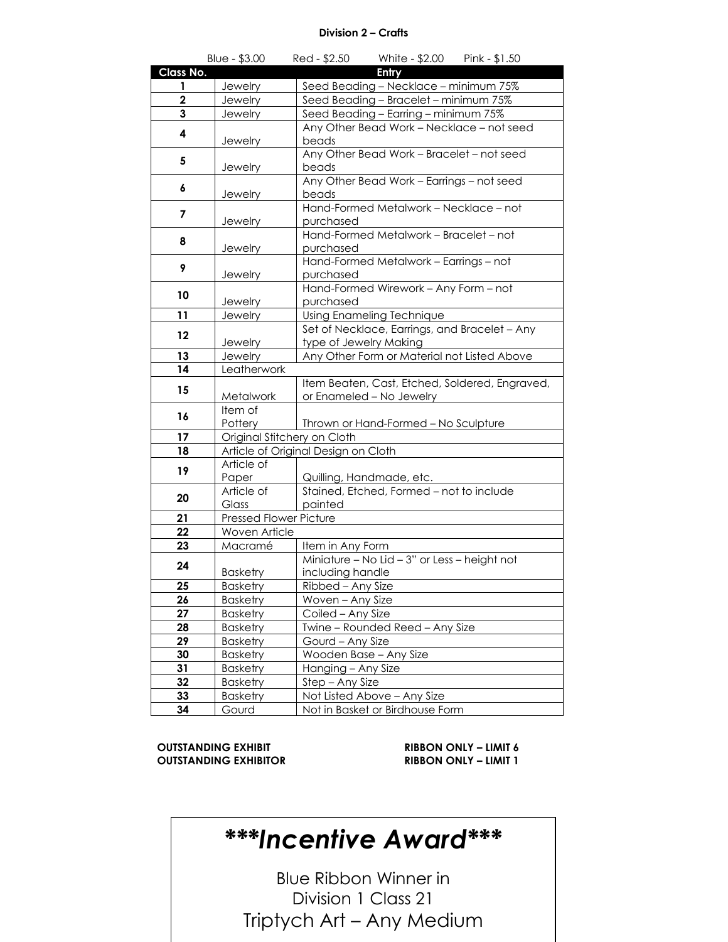#### **Division 2 – Crafts**

|             | Blue - \$3.00               | White - \$2.00 Pink - \$1.50<br>Red - \$2.50                         |  |  |
|-------------|-----------------------------|----------------------------------------------------------------------|--|--|
| Class No.   |                             | Entry                                                                |  |  |
| 1           | Jewelry                     | Seed Beading - Necklace - minimum 75%                                |  |  |
| $\mathbf 2$ | Jewelry                     | Seed Beading - Bracelet - minimum 75%                                |  |  |
| 3           | <b>Jewelry</b>              | Seed Beading - Earring - minimum 75%                                 |  |  |
| 4           |                             | Any Other Bead Work - Necklace - not seed                            |  |  |
|             | Jewelry                     | beads                                                                |  |  |
| 5           |                             | Any Other Bead Work - Bracelet - not seed                            |  |  |
|             | Jewelry                     | beads                                                                |  |  |
| 6           |                             | Any Other Bead Work - Earrings - not seed                            |  |  |
|             | Jewelry                     | beads                                                                |  |  |
| 7           |                             | Hand-Formed Metalwork - Necklace - not                               |  |  |
|             | Jewelry                     | purchased<br>Hand-Formed Metalwork - Bracelet - not                  |  |  |
| 8           |                             | purchased                                                            |  |  |
|             | Jewelry                     | Hand-Formed Metalwork - Earrings - not                               |  |  |
| 9           | Jewelry                     | purchased                                                            |  |  |
| 10          |                             | Hand-Formed Wirework - Any Form - not                                |  |  |
|             | Jewelry                     | purchased                                                            |  |  |
| 11          | Jewelry                     | Using Enameling Technique                                            |  |  |
|             |                             | Set of Necklace, Earrings, and Bracelet - Any                        |  |  |
| $12 \,$     | Jewelry                     | type of Jewelry Making                                               |  |  |
| 13          | Jewelry                     | Any Other Form or Material not Listed Above                          |  |  |
| 14          | Leatherwork                 |                                                                      |  |  |
| 15          |                             | Item Beaten, Cast, Etched, Soldered, Engraved,                       |  |  |
|             | Metalwork                   | or Enameled - No Jewelry                                             |  |  |
| 16          | Item of                     |                                                                      |  |  |
|             | Pottery                     | Thrown or Hand-Formed - No Sculpture                                 |  |  |
| 17          | Original Stitchery on Cloth |                                                                      |  |  |
| 18          |                             | Article of Original Design on Cloth                                  |  |  |
| 19          | Article of                  |                                                                      |  |  |
|             | Paper<br>Article of         | Quilling, Handmade, etc.<br>Stained, Etched, Formed - not to include |  |  |
| 20          | Glass                       | painted                                                              |  |  |
| 21          | Pressed Flower Picture      |                                                                      |  |  |
| 22          | Woven Article               |                                                                      |  |  |
| 23          | Macramé                     | Item in Any Form                                                     |  |  |
|             |                             | Miniature - No Lid - 3" or Less - height not                         |  |  |
| 24          | <b>Basketry</b>             | including handle                                                     |  |  |
| 25          | <b>Basketry</b>             | Ribbed - Any Size                                                    |  |  |
| 26          | <b>Basketry</b>             | Woven – Any Size                                                     |  |  |
| 27          | <b>Basketry</b>             | Coiled - Any Size                                                    |  |  |
| 28          | <b>Basketry</b>             | Twine - Rounded Reed - Any Size                                      |  |  |
| 29          | <b>Basketry</b>             | Gourd - Any Size                                                     |  |  |
| 30          | <b>Basketry</b>             | Wooden Base - Any Size                                               |  |  |
| 31          | <b>Basketry</b>             | Hanging - Any Size                                                   |  |  |
| 32          | <b>Basketry</b>             | Step - Any Size                                                      |  |  |
| 33          | <b>Basketry</b>             | Not Listed Above - Any Size                                          |  |  |
| 34          | Gourd                       | Not in Basket or Birdhouse Form                                      |  |  |

**OUTSTANDING EXHIBIT**<br> **CUTSTANDING EXHIBITOR**<br> **RIBBON ONLY – LIMIT 1**  $\overline{O}$  **UTSTANDING EXHIBITOR** 

| ***Incentive Award*** |  |
|-----------------------|--|
|-----------------------|--|

Blue Ribbon Winner in Division 1 Class 21 Triptych Art – Any Medium